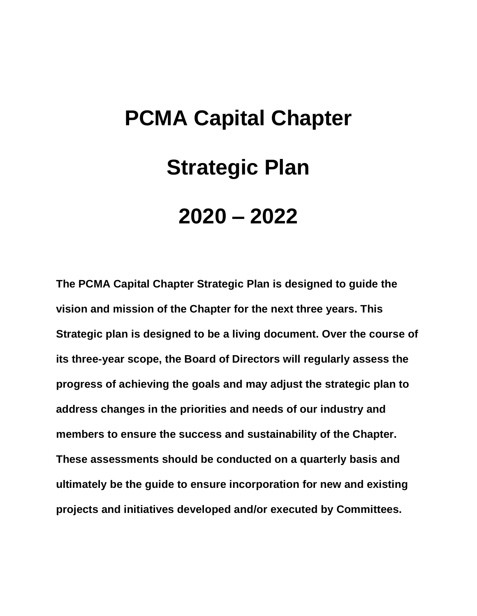# **PCMA Capital Chapter Strategic Plan 2020 – 2022**

**The PCMA Capital Chapter Strategic Plan is designed to guide the vision and mission of the Chapter for the next three years. This Strategic plan is designed to be a living document. Over the course of its three-year scope, the Board of Directors will regularly assess the progress of achieving the goals and may adjust the strategic plan to address changes in the priorities and needs of our industry and members to ensure the success and sustainability of the Chapter. These assessments should be conducted on a quarterly basis and ultimately be the guide to ensure incorporation for new and existing projects and initiatives developed and/or executed by Committees.**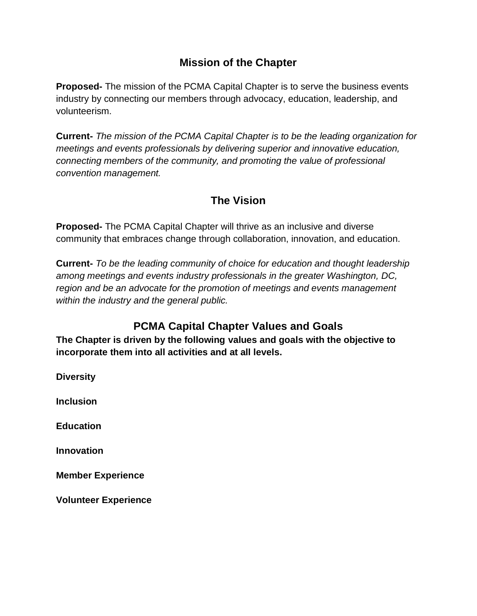## **Mission of the Chapter**

**Proposed-** The mission of the PCMA Capital Chapter is to serve the business events industry by connecting our members through advocacy, education, leadership, and volunteerism.

**Current-** *The mission of the PCMA Capital Chapter is to be the leading organization for meetings and events professionals by delivering superior and innovative education, connecting members of the community, and promoting the value of professional convention management.* 

## **The Vision**

**Proposed-** The PCMA Capital Chapter will thrive as an inclusive and diverse community that embraces change through collaboration, innovation, and education.

**Current-** *To be the leading community of choice for education and thought leadership among meetings and events industry professionals in the greater Washington, DC, region and be an advocate for the promotion of meetings and events management within the industry and the general public.*

## **PCMA Capital Chapter Values and Goals**

**The Chapter is driven by the following values and goals with the objective to incorporate them into all activities and at all levels.**

**Diversity Inclusion Education Innovation Member Experience**

**Volunteer Experience**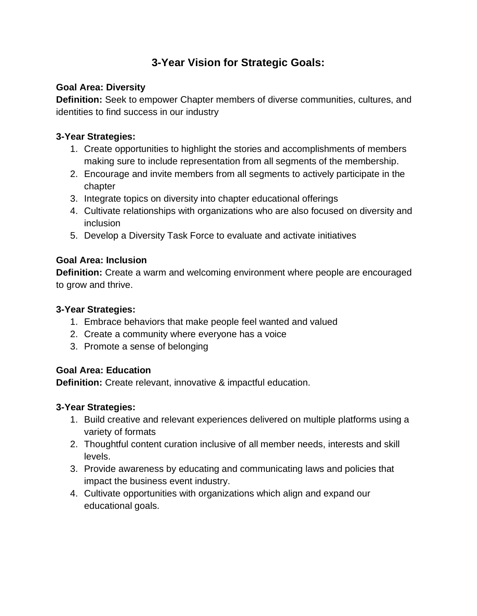## **3-Year Vision for Strategic Goals:**

#### **Goal Area: Diversity**

**Definition:** Seek to empower Chapter members of diverse communities, cultures, and identities to find success in our industry

#### **3-Year Strategies:**

- 1. Create opportunities to highlight the stories and accomplishments of members making sure to include representation from all segments of the membership.
- 2. Encourage and invite members from all segments to actively participate in the chapter
- 3. Integrate topics on diversity into chapter educational offerings
- 4. Cultivate relationships with organizations who are also focused on diversity and inclusion
- 5. Develop a Diversity Task Force to evaluate and activate initiatives

#### **Goal Area: Inclusion**

**Definition:** Create a warm and welcoming environment where people are encouraged to grow and thrive.

#### **3-Year Strategies:**

- 1. Embrace behaviors that make people feel wanted and valued
- 2. Create a community where everyone has a voice
- 3. Promote a sense of belonging

#### **Goal Area: Education**

**Definition:** Create relevant, innovative & impactful education.

#### **3-Year Strategies:**

- 1. Build creative and relevant experiences delivered on multiple platforms using a variety of formats
- 2. Thoughtful content curation inclusive of all member needs, interests and skill levels.
- 3. Provide awareness by educating and communicating laws and policies that impact the business event industry.
- 4. Cultivate opportunities with organizations which align and expand our educational goals.